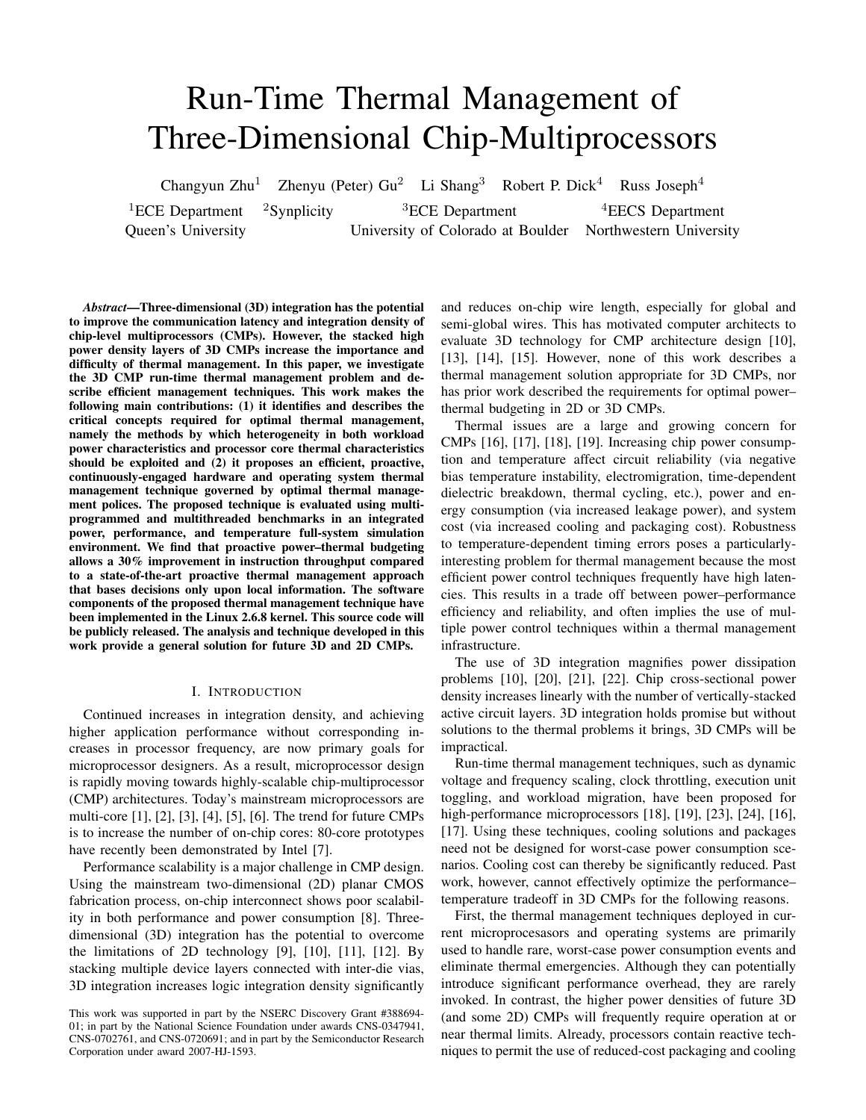# Run-Time Thermal Management of Three-Dimensional Chip-Multiprocessors

Changyun Zhu<sup>1</sup> Zhenyu (Peter) Gu<sup>2</sup> Li Shang<sup>3</sup> Robert P. Dick<sup>4</sup> Russ Joseph<sup>4</sup> <sup>1</sup>ECE Department <sup>2</sup>Synplicity <sup>3</sup>ECE Department <sup>4</sup>EECS Department Queen's University University of Colorado at Boulder Northwestern University

*Abstract*—Three-dimensional (3D) integration has the potential to improve the communication latency and integration density of chip-level multiprocessors (CMPs). However, the stacked high power density layers of 3D CMPs increase the importance and difficulty of thermal management. In this paper, we investigate the 3D CMP run-time thermal management problem and describe efficient management techniques. This work makes the following main contributions: (1) it identifies and describes the critical concepts required for optimal thermal management, namely the methods by which heterogeneity in both workload power characteristics and processor core thermal characteristics should be exploited and (2) it proposes an efficient, proactive, continuously-engaged hardware and operating system thermal management technique governed by optimal thermal management polices. The proposed technique is evaluated using multiprogrammed and multithreaded benchmarks in an integrated power, performance, and temperature full-system simulation environment. We find that proactive power–thermal budgeting allows a 30% improvement in instruction throughput compared to a state-of-the-art proactive thermal management approach that bases decisions only upon local information. The software components of the proposed thermal management technique have been implemented in the Linux 2.6.8 kernel. This source code will be publicly released. The analysis and technique developed in this work provide a general solution for future 3D and 2D CMPs.

## I. INTRODUCTION

Continued increases in integration density, and achieving higher application performance without corresponding increases in processor frequency, are now primary goals for microprocessor designers. As a result, microprocessor design is rapidly moving towards highly-scalable chip-multiprocessor (CMP) architectures. Today's mainstream microprocessors are multi-core [1], [2], [3], [4], [5], [6]. The trend for future CMPs is to increase the number of on-chip cores: 80-core prototypes have recently been demonstrated by Intel [7].

Performance scalability is a major challenge in CMP design. Using the mainstream two-dimensional (2D) planar CMOS fabrication process, on-chip interconnect shows poor scalability in both performance and power consumption [8]. Threedimensional (3D) integration has the potential to overcome the limitations of 2D technology  $[9]$ ,  $[10]$ ,  $[11]$ ,  $[12]$ . By stacking multiple device layers connected with inter-die vias, 3D integration increases logic integration density significantly and reduces on-chip wire length, especially for global and semi-global wires. This has motivated computer architects to evaluate 3D technology for CMP architecture design [10], [13], [14], [15]. However, none of this work describes a thermal management solution appropriate for 3D CMPs, nor has prior work described the requirements for optimal power– thermal budgeting in 2D or 3D CMPs.

Thermal issues are a large and growing concern for CMPs [16], [17], [18], [19]. Increasing chip power consumption and temperature affect circuit reliability (via negative bias temperature instability, electromigration, time-dependent dielectric breakdown, thermal cycling, etc.), power and energy consumption (via increased leakage power), and system cost (via increased cooling and packaging cost). Robustness to temperature-dependent timing errors poses a particularlyinteresting problem for thermal management because the most efficient power control techniques frequently have high latencies. This results in a trade off between power–performance efficiency and reliability, and often implies the use of multiple power control techniques within a thermal management infrastructure.

The use of 3D integration magnifies power dissipation problems [10], [20], [21], [22]. Chip cross-sectional power density increases linearly with the number of vertically-stacked active circuit layers. 3D integration holds promise but without solutions to the thermal problems it brings, 3D CMPs will be impractical.

Run-time thermal management techniques, such as dynamic voltage and frequency scaling, clock throttling, execution unit toggling, and workload migration, have been proposed for high-performance microprocessors [18], [19], [23], [24], [16], [17]. Using these techniques, cooling solutions and packages need not be designed for worst-case power consumption scenarios. Cooling cost can thereby be significantly reduced. Past work, however, cannot effectively optimize the performance– temperature tradeoff in 3D CMPs for the following reasons.

First, the thermal management techniques deployed in current microprocesasors and operating systems are primarily used to handle rare, worst-case power consumption events and eliminate thermal emergencies. Although they can potentially introduce significant performance overhead, they are rarely invoked. In contrast, the higher power densities of future 3D (and some 2D) CMPs will frequently require operation at or near thermal limits. Already, processors contain reactive techniques to permit the use of reduced-cost packaging and cooling

This work was supported in part by the NSERC Discovery Grant #388694- 01; in part by the National Science Foundation under awards CNS-0347941, CNS-0702761, and CNS-0720691; and in part by the Semiconductor Research Corporation under award 2007-HJ-1593.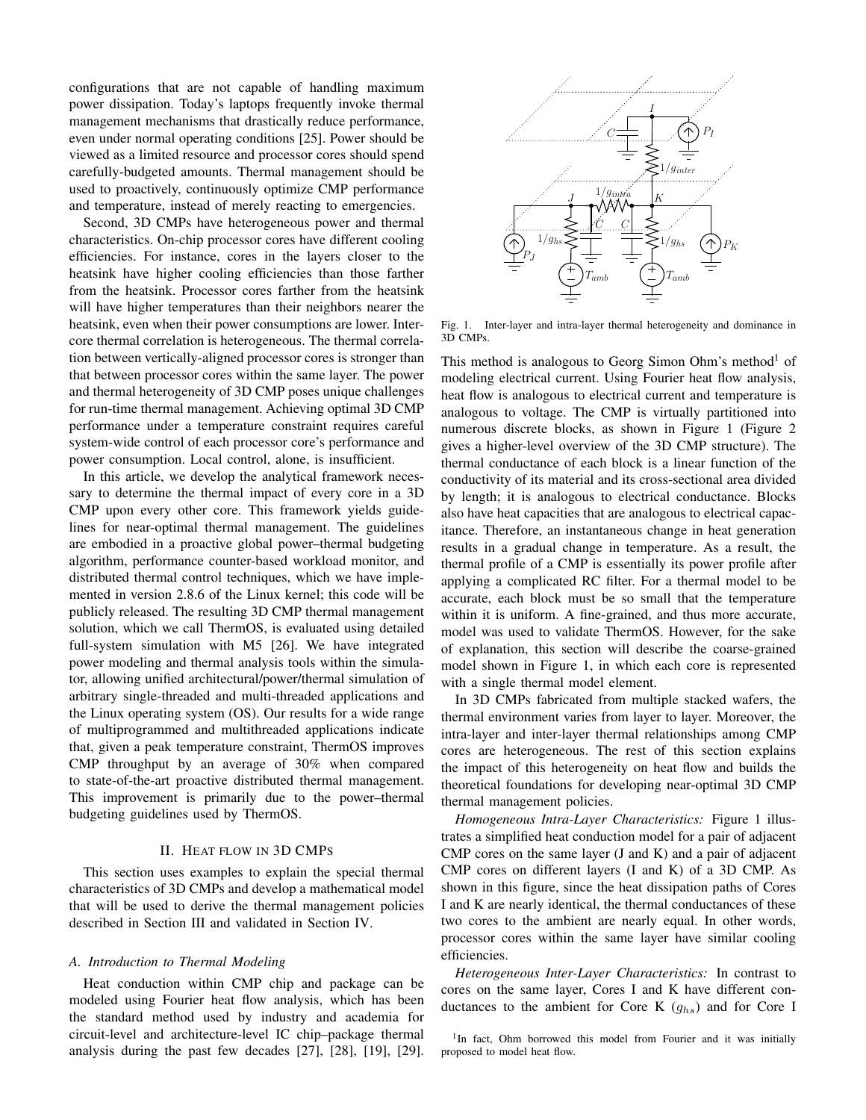configurations that are not capable of handling maximum power dissipation. Today's laptops frequently invoke thermal management mechanisms that drastically reduce performance, even under normal operating conditions [25]. Power should be viewed as a limited resource and processor cores should spend carefully-budgeted amounts. Thermal management should be used to proactively, continuously optimize CMP performance and temperature, instead of merely reacting to emergencies.

Second, 3D CMPs have heterogeneous power and thermal characteristics. On-chip processor cores have different cooling efficiencies. For instance, cores in the layers closer to the heatsink have higher cooling efficiencies than those farther from the heatsink. Processor cores farther from the heatsink will have higher temperatures than their neighbors nearer the heatsink, even when their power consumptions are lower. Intercore thermal correlation is heterogeneous. The thermal correlation between vertically-aligned processor cores is stronger than that between processor cores within the same layer. The power and thermal heterogeneity of 3D CMP poses unique challenges for run-time thermal management. Achieving optimal 3D CMP performance under a temperature constraint requires careful system-wide control of each processor core's performance and power consumption. Local control, alone, is insufficient.

In this article, we develop the analytical framework necessary to determine the thermal impact of every core in a 3D CMP upon every other core. This framework yields guidelines for near-optimal thermal management. The guidelines are embodied in a proactive global power–thermal budgeting algorithm, performance counter-based workload monitor, and distributed thermal control techniques, which we have implemented in version 2.8.6 of the Linux kernel; this code will be publicly released. The resulting 3D CMP thermal management solution, which we call ThermOS, is evaluated using detailed full-system simulation with M5 [26]. We have integrated power modeling and thermal analysis tools within the simulator, allowing unified architectural/power/thermal simulation of arbitrary single-threaded and multi-threaded applications and the Linux operating system (OS). Our results for a wide range of multiprogrammed and multithreaded applications indicate that, given a peak temperature constraint, ThermOS improves CMP throughput by an average of 30% when compared to state-of-the-art proactive distributed thermal management. This improvement is primarily due to the power–thermal budgeting guidelines used by ThermOS.

#### II. HEAT FLOW IN 3D CMPS

This section uses examples to explain the special thermal characteristics of 3D CMPs and develop a mathematical model that will be used to derive the thermal management policies described in Section III and validated in Section IV.

#### *A. Introduction to Thermal Modeling*

Heat conduction within CMP chip and package can be modeled using Fourier heat flow analysis, which has been the standard method used by industry and academia for circuit-level and architecture-level IC chip–package thermal analysis during the past few decades [27], [28], [19], [29].



Fig. 1. Inter-layer and intra-layer thermal heterogeneity and dominance in 3D CMPs.

This method is analogous to Georg Simon Ohm's method<sup>1</sup> of modeling electrical current. Using Fourier heat flow analysis, heat flow is analogous to electrical current and temperature is analogous to voltage. The CMP is virtually partitioned into numerous discrete blocks, as shown in Figure 1 (Figure 2) gives a higher-level overview of the 3D CMP structure). The thermal conductance of each block is a linear function of the conductivity of its material and its cross-sectional area divided by length; it is analogous to electrical conductance. Blocks also have heat capacities that are analogous to electrical capacitance. Therefore, an instantaneous change in heat generation results in a gradual change in temperature. As a result, the thermal profile of a CMP is essentially its power profile after applying a complicated RC filter. For a thermal model to be accurate, each block must be so small that the temperature within it is uniform. A fine-grained, and thus more accurate, model was used to validate ThermOS. However, for the sake of explanation, this section will describe the coarse-grained model shown in Figure 1, in which each core is represented with a single thermal model element.

In 3D CMPs fabricated from multiple stacked wafers, the thermal environment varies from layer to layer. Moreover, the intra-layer and inter-layer thermal relationships among CMP cores are heterogeneous. The rest of this section explains the impact of this heterogeneity on heat flow and builds the theoretical foundations for developing near-optimal 3D CMP thermal management policies.

*Homogeneous Intra-Layer Characteristics:* Figure 1 illustrates a simplified heat conduction model for a pair of adjacent CMP cores on the same layer (J and K) and a pair of adjacent CMP cores on different layers (I and K) of a 3D CMP. As shown in this figure, since the heat dissipation paths of Cores I and K are nearly identical, the thermal conductances of these two cores to the ambient are nearly equal. In other words, processor cores within the same layer have similar cooling efficiencies.

*Heterogeneous Inter-Layer Characteristics:* In contrast to cores on the same layer, Cores I and K have different conductances to the ambient for Core K  $(g_{hs})$  and for Core I

<sup>&</sup>lt;sup>1</sup>In fact, Ohm borrowed this model from Fourier and it was initially proposed to model heat flow.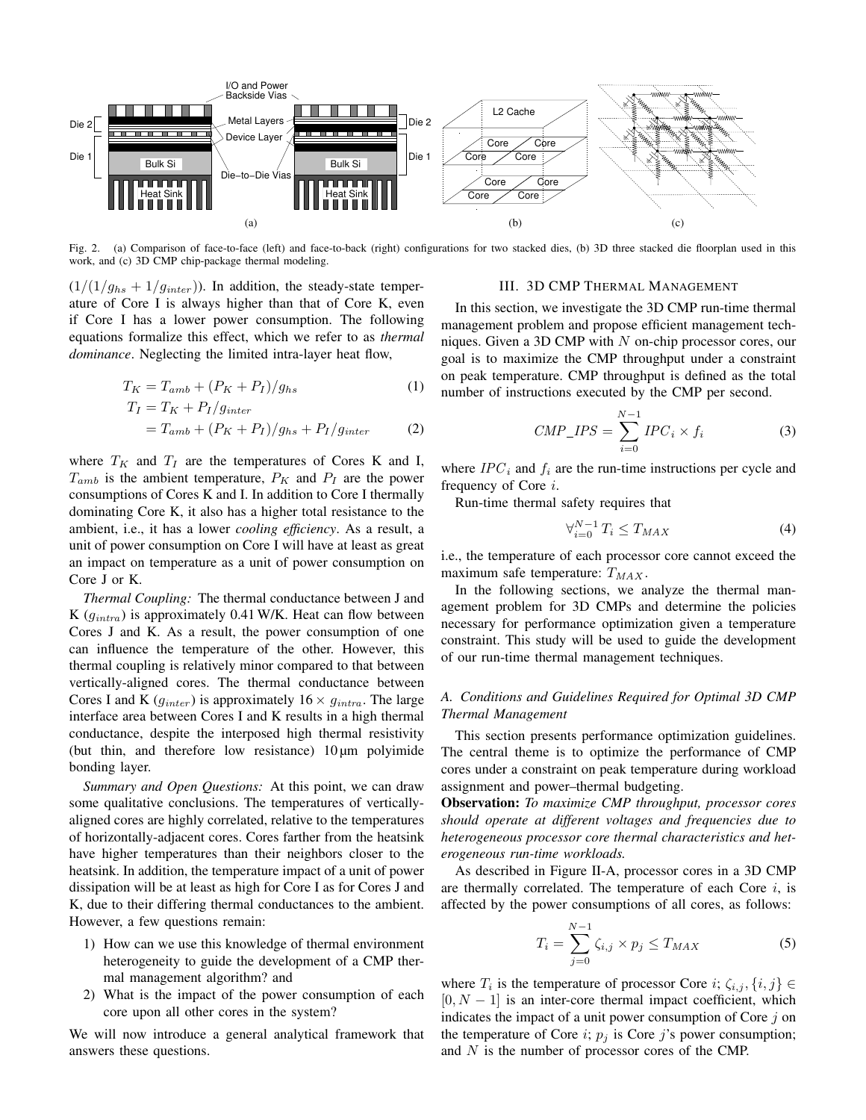

Fig. 2. (a) Comparison of face-to-face (left) and face-to-back (right) configurations for two stacked dies, (b) 3D three stacked die floorplan used in this work, and (c) 3D CMP chip-package thermal modeling.

 $(1/(1/g_{hs} + 1/g_{inter}))$ . In addition, the steady-state temperature of Core I is always higher than that of Core K, even if Core I has a lower power consumption. The following equations formalize this effect, which we refer to as *thermal dominance*. Neglecting the limited intra-layer heat flow,

$$
T_K = T_{amb} + (P_K + P_I)/g_{hs} \tag{1}
$$

$$
T_I = T_K + P_I/g_{inter}
$$

$$
=T_{amb}+(P_K+P_I)/g_{hs}+P_I/g_{inter}
$$
 (2)

where  $T_K$  and  $T_I$  are the temperatures of Cores K and I,  $T_{amb}$  is the ambient temperature,  $P_K$  and  $P_I$  are the power consumptions of Cores K and I. In addition to Core I thermally dominating Core K, it also has a higher total resistance to the ambient, i.e., it has a lower *cooling efficiency*. As a result, a unit of power consumption on Core I will have at least as great an impact on temperature as a unit of power consumption on Core J or K.

*Thermal Coupling:* The thermal conductance between J and K  $(g<sub>intra</sub>)$  is approximately 0.41 W/K. Heat can flow between Cores J and K. As a result, the power consumption of one can influence the temperature of the other. However, this thermal coupling is relatively minor compared to that between vertically-aligned cores. The thermal conductance between Cores I and K ( $g_{inter}$ ) is approximately  $16 \times g_{intra}$ . The large interface area between Cores I and K results in a high thermal conductance, despite the interposed high thermal resistivity (but thin, and therefore low resistance)  $10 \mu m$  polyimide bonding layer.

*Summary and Open Questions:* At this point, we can draw some qualitative conclusions. The temperatures of verticallyaligned cores are highly correlated, relative to the temperatures of horizontally-adjacent cores. Cores farther from the heatsink have higher temperatures than their neighbors closer to the heatsink. In addition, the temperature impact of a unit of power dissipation will be at least as high for Core I as for Cores J and K, due to their differing thermal conductances to the ambient. However, a few questions remain:

- 1) How can we use this knowledge of thermal environment heterogeneity to guide the development of a CMP thermal management algorithm? and
- 2) What is the impact of the power consumption of each core upon all other cores in the system?

We will now introduce a general analytical framework that answers these questions.

## III. 3D CMP THERMAL MANAGEMENT

In this section, we investigate the 3D CMP run-time thermal management problem and propose efficient management techniques. Given a 3D CMP with  $N$  on-chip processor cores, our goal is to maximize the CMP throughput under a constraint on peak temperature. CMP throughput is defined as the total number of instructions executed by the CMP per second.

$$
CMP\_IPS = \sum_{i=0}^{N-1} IPC_i \times f_i
$$
 (3)

where  $IPC_i$  and  $f_i$  are the run-time instructions per cycle and frequency of Core i.

Run-time thermal safety requires that

$$
\forall_{i=0}^{N-1} T_i \le T_{MAX} \tag{4}
$$

i.e., the temperature of each processor core cannot exceed the maximum safe temperature:  $T_{MAX}$ .

In the following sections, we analyze the thermal management problem for 3D CMPs and determine the policies necessary for performance optimization given a temperature constraint. This study will be used to guide the development of our run-time thermal management techniques.

## *A. Conditions and Guidelines Required for Optimal 3D CMP Thermal Management*

This section presents performance optimization guidelines. The central theme is to optimize the performance of CMP cores under a constraint on peak temperature during workload assignment and power–thermal budgeting.

Observation: *To maximize CMP throughput, processor cores should operate at different voltages and frequencies due to heterogeneous processor core thermal characteristics and heterogeneous run-time workloads.*

As described in Figure II-A, processor cores in a 3D CMP are thermally correlated. The temperature of each Core  $i$ , is affected by the power consumptions of all cores, as follows:

$$
T_i = \sum_{j=0}^{N-1} \zeta_{i,j} \times p_j \le T_{MAX}
$$
 (5)

where  $T_i$  is the temperature of processor Core  $i$ ;  $\zeta_{i,j}$ ,  $\{i,j\} \in$  $[0, N - 1]$  is an inter-core thermal impact coefficient, which indicates the impact of a unit power consumption of Core  $j$  on the temperature of Core i;  $p_i$  is Core j's power consumption; and N is the number of processor cores of the CMP.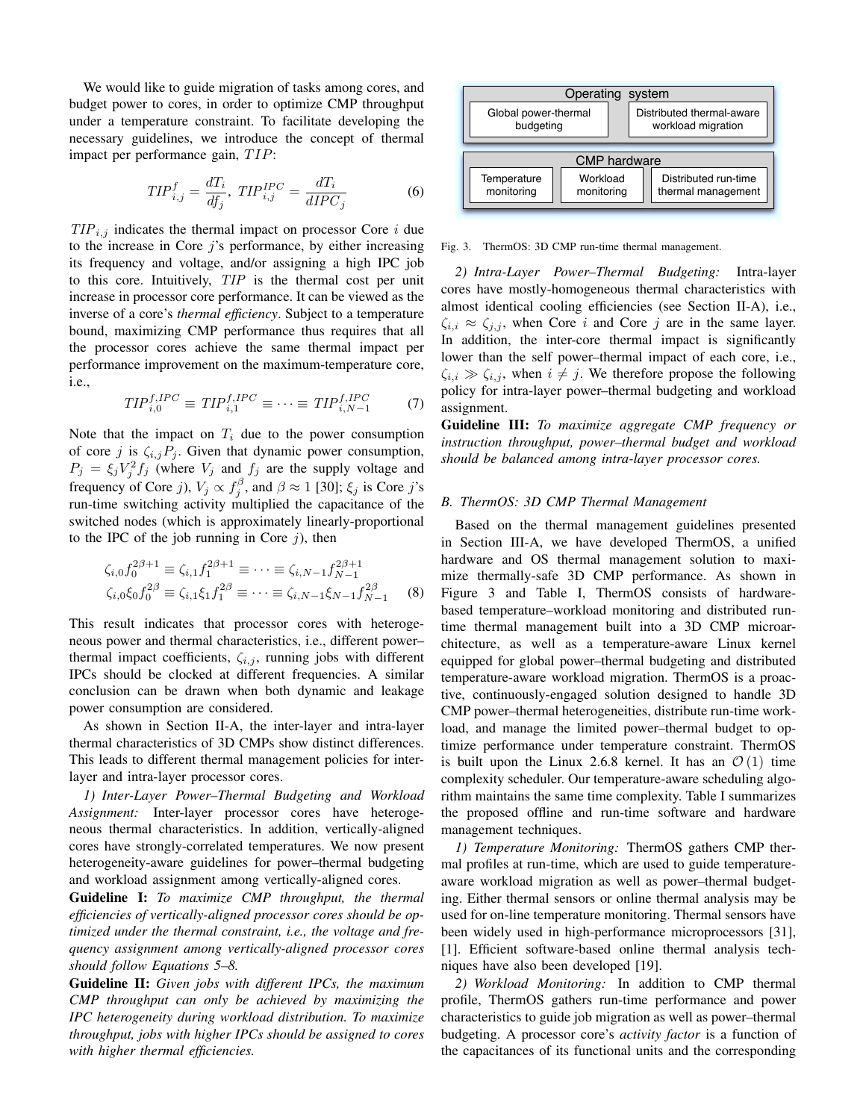We would like to guide migration of tasks among cores, and budget power to cores, in order to optimize CMP throughput under a temperature constraint. To facilitate developing the necessary guidelines, we introduce the concept of thermal impact per performance gain, TIP:

$$
TIP_{i,j}^f = \frac{dT_i}{df_j}, \ TIP_{i,j}^{IPC} = \frac{dT_i}{dIPC_j} \tag{6}
$$

 $TIP_{i,j}$  indicates the thermal impact on processor Core i due to the increase in Core  $j$ 's performance, by either increasing its frequency and voltage, and/or assigning a high IPC job to this core. Intuitively, TIP is the thermal cost per unit increase in processor core performance. It can be viewed as the inverse of a core's *thermal efficiency*. Subject to a temperature bound, maximizing CMP performance thus requires that all the processor cores achieve the same thermal impact per performance improvement on the maximum-temperature core, i.e.,

$$
TIP_{i,0}^{f,IPC} \equiv TIP_{i,1}^{f,IPC} \equiv \cdots \equiv TIP_{i,N-1}^{f,IPC} \tag{7}
$$

Note that the impact on  $T_i$  due to the power consumption of core j is  $\zeta_{i,j}P_j$ . Given that dynamic power consumption,  $P_j = \xi_j V_j^2 f_j$  (where  $V_j$  and  $f_j$  are the supply voltage and frequency of Core j),  $V_j \propto f_j^{\beta}$ , and  $\beta \approx 1$  [30];  $\xi_j$  is Core j's run-time switching activity multiplied the capacitance of the switched nodes (which is approximately linearly-proportional to the IPC of the job running in Core  $j$ ), then

$$
\zeta_{i,0} f_0^{2\beta+1} \equiv \zeta_{i,1} f_1^{2\beta+1} \equiv \cdots \equiv \zeta_{i,N-1} f_{N-1}^{2\beta+1}
$$
  

$$
\zeta_{i,0} \xi_0 f_0^{2\beta} \equiv \zeta_{i,1} \xi_1 f_1^{2\beta} \equiv \cdots \equiv \zeta_{i,N-1} \xi_{N-1} f_{N-1}^{2\beta} \qquad (8)
$$

This result indicates that processor cores with heterogeneous power and thermal characteristics, i.e., different power– thermal impact coefficients,  $\zeta_{i,j}$ , running jobs with different IPCs should be clocked at different frequencies. A similar conclusion can be drawn when both dynamic and leakage power consumption are considered.

As shown in Section II-A, the inter-layer and intra-layer thermal characteristics of 3D CMPs show distinct differences. This leads to different thermal management policies for interlayer and intra-layer processor cores.

*1) Inter-Layer Power–Thermal Budgeting and Workload Assignment:* Inter-layer processor cores have heterogeneous thermal characteristics. In addition, vertically-aligned cores have strongly-correlated temperatures. We now present heterogeneity-aware guidelines for power–thermal budgeting and workload assignment among vertically-aligned cores.

Guideline I: *To maximize CMP throughput, the thermal efficiencies of vertically-aligned processor cores should be optimized under the thermal constraint, i.e., the voltage and frequency assignment among vertically-aligned processor cores should follow Equations 5–8.*

Guideline II: *Given jobs with different IPCs, the maximum CMP throughput can only be achieved by maximizing the IPC heterogeneity during workload distribution. To maximize throughput, jobs with higher IPCs should be assigned to cores with higher thermal efficiencies.*



Fig. 3. ThermOS: 3D CMP run-time thermal management.

*2) Intra-Layer Power–Thermal Budgeting:* Intra-layer cores have mostly-homogeneous thermal characteristics with almost identical cooling efficiencies (see Section II-A), i.e.,  $\zeta_{i,i} \approx \zeta_{j,i}$ , when Core i and Core j are in the same layer. In addition, the inter-core thermal impact is significantly lower than the self power–thermal impact of each core, i.e.,  $\zeta_{i,i} \gg \zeta_{i,j}$ , when  $i \neq j$ . We therefore propose the following policy for intra-layer power–thermal budgeting and workload assignment.

Guideline III: *To maximize aggregate CMP frequency or instruction throughput, power–thermal budget and workload should be balanced among intra-layer processor cores.*

#### *B. ThermOS: 3D CMP Thermal Management*

Based on the thermal management guidelines presented in Section III-A, we have developed ThermOS, a unified hardware and OS thermal management solution to maximize thermally-safe 3D CMP performance. As shown in Figure 3 and Table I, ThermOS consists of hardwarebased temperature–workload monitoring and distributed runtime thermal management built into a 3D CMP microarchitecture, as well as a temperature-aware Linux kernel equipped for global power–thermal budgeting and distributed temperature-aware workload migration. ThermOS is a proactive, continuously-engaged solution designed to handle 3D CMP power–thermal heterogeneities, distribute run-time workload, and manage the limited power–thermal budget to optimize performance under temperature constraint. ThermOS is built upon the Linux 2.6.8 kernel. It has an  $\mathcal{O}(1)$  time complexity scheduler. Our temperature-aware scheduling algorithm maintains the same time complexity. Table I summarizes the proposed offline and run-time software and hardware management techniques.

*1) Temperature Monitoring:* ThermOS gathers CMP thermal profiles at run-time, which are used to guide temperatureaware workload migration as well as power–thermal budgeting. Either thermal sensors or online thermal analysis may be used for on-line temperature monitoring. Thermal sensors have been widely used in high-performance microprocessors [31], [1]. Efficient software-based online thermal analysis techniques have also been developed [19].

*2) Workload Monitoring:* In addition to CMP thermal profile, ThermOS gathers run-time performance and power characteristics to guide job migration as well as power–thermal budgeting. A processor core's *activity factor* is a function of the capacitances of its functional units and the corresponding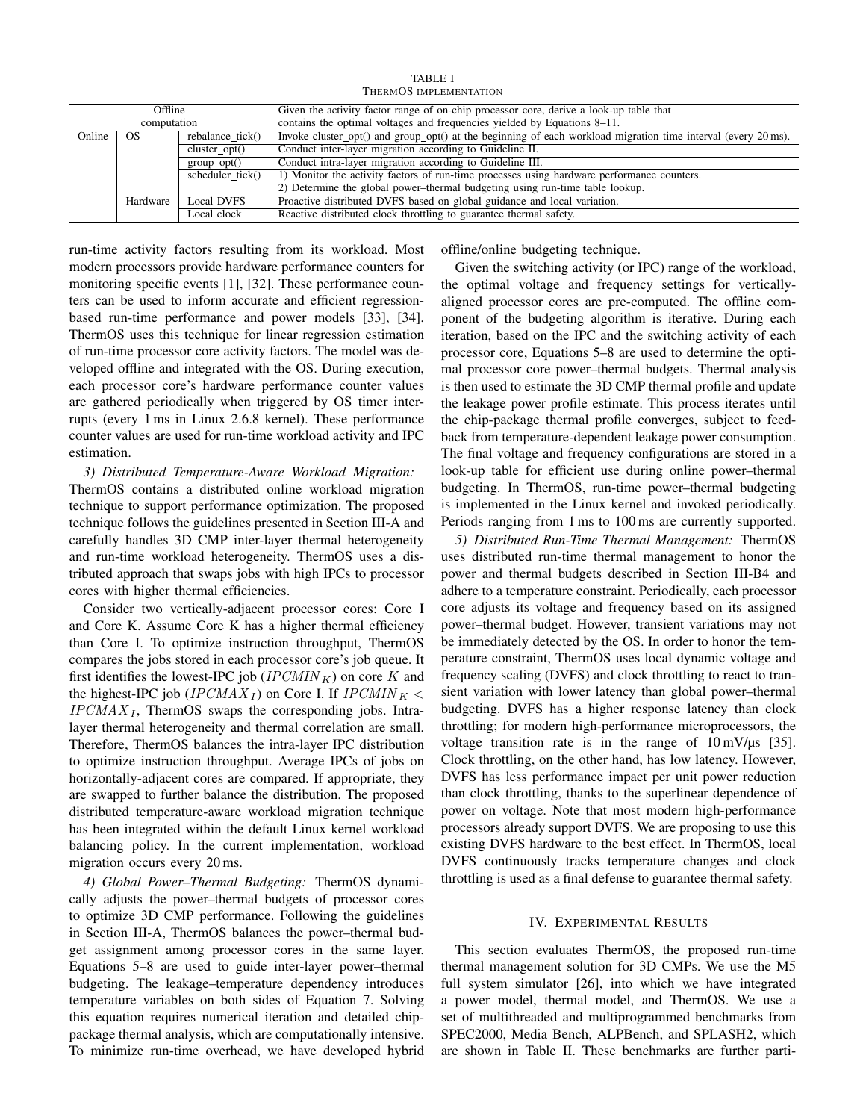| 1112111100 1111 22111211111101 |           |                                                                                                                  |                                                                                                               |  |  |  |
|--------------------------------|-----------|------------------------------------------------------------------------------------------------------------------|---------------------------------------------------------------------------------------------------------------|--|--|--|
| Offline                        |           |                                                                                                                  | Given the activity factor range of on-chip processor core, derive a look-up table that                        |  |  |  |
| computation                    |           |                                                                                                                  | contains the optimal voltages and frequencies yielded by Equations $8-11$ .                                   |  |  |  |
| Online                         | <b>OS</b> | rebalance tick()                                                                                                 | Invoke cluster_opt() and group_opt() at the beginning of each workload migration time interval (every 20 ms). |  |  |  |
|                                |           | cluster $opt()$                                                                                                  | Conduct inter-layer migration according to Guideline II.                                                      |  |  |  |
|                                |           | $group\_opt()$                                                                                                   | Conduct intra-layer migration according to Guideline III.                                                     |  |  |  |
|                                |           | 1) Monitor the activity factors of run-time processes using hardware performance counters.<br>scheduler $tick()$ |                                                                                                               |  |  |  |
|                                |           |                                                                                                                  | 2) Determine the global power-thermal budgeting using run-time table lookup.                                  |  |  |  |
|                                | Hardware  | Local DVFS                                                                                                       | Proactive distributed DVFS based on global guidance and local variation.                                      |  |  |  |
|                                |           | Local clock                                                                                                      | Reactive distributed clock throttling to guarantee thermal safety.                                            |  |  |  |

TABLE I THERMOS IMPLEMENTATION

run-time activity factors resulting from its workload. Most modern processors provide hardware performance counters for monitoring specific events [1], [32]. These performance counters can be used to inform accurate and efficient regressionbased run-time performance and power models [33], [34]. ThermOS uses this technique for linear regression estimation of run-time processor core activity factors. The model was developed offline and integrated with the OS. During execution, each processor core's hardware performance counter values are gathered periodically when triggered by OS timer interrupts (every 1 ms in Linux 2.6.8 kernel). These performance counter values are used for run-time workload activity and IPC estimation.

*3) Distributed Temperature-Aware Workload Migration:*

ThermOS contains a distributed online workload migration technique to support performance optimization. The proposed technique follows the guidelines presented in Section III-A and carefully handles 3D CMP inter-layer thermal heterogeneity and run-time workload heterogeneity. ThermOS uses a distributed approach that swaps jobs with high IPCs to processor cores with higher thermal efficiencies.

Consider two vertically-adjacent processor cores: Core I and Core K. Assume Core K has a higher thermal efficiency than Core I. To optimize instruction throughput, ThermOS compares the jobs stored in each processor core's job queue. It first identifies the lowest-IPC job  $(IPCMIN_K)$  on core K and the highest-IPC job (*IPCMAX<sub>I</sub>*) on Core I. If *IPCMIN*<sub>K</sub> <  $IPCMAX<sub>I</sub>$ , ThermOS swaps the corresponding jobs. Intralayer thermal heterogeneity and thermal correlation are small. Therefore, ThermOS balances the intra-layer IPC distribution to optimize instruction throughput. Average IPCs of jobs on horizontally-adjacent cores are compared. If appropriate, they are swapped to further balance the distribution. The proposed distributed temperature-aware workload migration technique has been integrated within the default Linux kernel workload balancing policy. In the current implementation, workload migration occurs every 20 ms.

*4) Global Power–Thermal Budgeting:* ThermOS dynamically adjusts the power–thermal budgets of processor cores to optimize 3D CMP performance. Following the guidelines in Section III-A, ThermOS balances the power–thermal budget assignment among processor cores in the same layer. Equations 5–8 are used to guide inter-layer power–thermal budgeting. The leakage–temperature dependency introduces temperature variables on both sides of Equation 7. Solving this equation requires numerical iteration and detailed chippackage thermal analysis, which are computationally intensive. To minimize run-time overhead, we have developed hybrid offline/online budgeting technique.

Given the switching activity (or IPC) range of the workload, the optimal voltage and frequency settings for verticallyaligned processor cores are pre-computed. The offline component of the budgeting algorithm is iterative. During each iteration, based on the IPC and the switching activity of each processor core, Equations 5–8 are used to determine the optimal processor core power–thermal budgets. Thermal analysis is then used to estimate the 3D CMP thermal profile and update the leakage power profile estimate. This process iterates until the chip-package thermal profile converges, subject to feedback from temperature-dependent leakage power consumption. The final voltage and frequency configurations are stored in a look-up table for efficient use during online power–thermal budgeting. In ThermOS, run-time power–thermal budgeting is implemented in the Linux kernel and invoked periodically. Periods ranging from 1 ms to 100 ms are currently supported.

*5) Distributed Run-Time Thermal Management:* ThermOS uses distributed run-time thermal management to honor the power and thermal budgets described in Section III-B4 and adhere to a temperature constraint. Periodically, each processor core adjusts its voltage and frequency based on its assigned power–thermal budget. However, transient variations may not be immediately detected by the OS. In order to honor the temperature constraint, ThermOS uses local dynamic voltage and frequency scaling (DVFS) and clock throttling to react to transient variation with lower latency than global power–thermal budgeting. DVFS has a higher response latency than clock throttling; for modern high-performance microprocessors, the voltage transition rate is in the range of 10 mV/µs [35]. Clock throttling, on the other hand, has low latency. However, DVFS has less performance impact per unit power reduction than clock throttling, thanks to the superlinear dependence of power on voltage. Note that most modern high-performance processors already support DVFS. We are proposing to use this existing DVFS hardware to the best effect. In ThermOS, local DVFS continuously tracks temperature changes and clock throttling is used as a final defense to guarantee thermal safety.

## IV. EXPERIMENTAL RESULTS

This section evaluates ThermOS, the proposed run-time thermal management solution for 3D CMPs. We use the M5 full system simulator [26], into which we have integrated a power model, thermal model, and ThermOS. We use a set of multithreaded and multiprogrammed benchmarks from SPEC2000, Media Bench, ALPBench, and SPLASH2, which are shown in Table II. These benchmarks are further parti-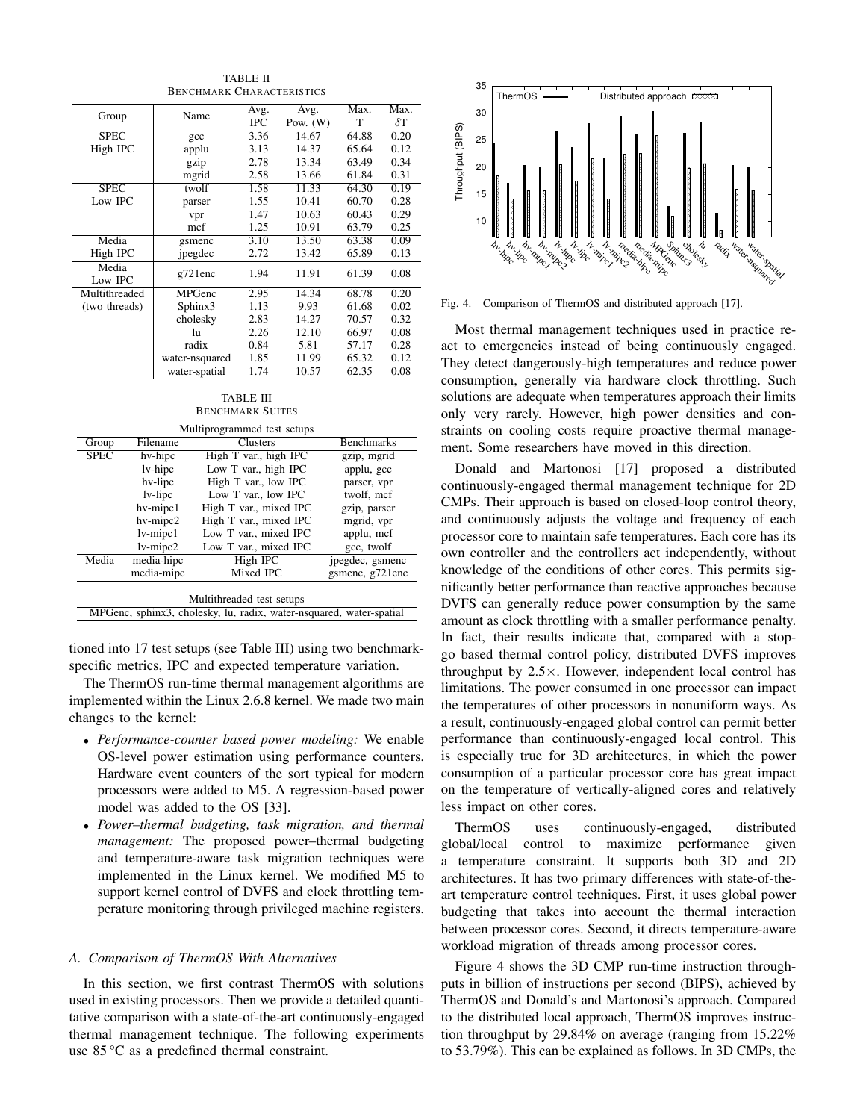| Group         | Name           | Avg.       | Avg.       | Max.  | Max.       |  |  |
|---------------|----------------|------------|------------|-------|------------|--|--|
|               |                | <b>IPC</b> | Pow. $(W)$ | T     | $\delta T$ |  |  |
| <b>SPEC</b>   | gcc            | 3.36       | 14.67      | 64.88 | 0.20       |  |  |
| High IPC      | applu          | 3.13       | 14.37      | 65.64 | 0.12       |  |  |
|               | gzip           | 2.78       | 13.34      | 63.49 | 0.34       |  |  |
|               | mgrid          | 2.58       | 13.66      | 61.84 | 0.31       |  |  |
| <b>SPEC</b>   | twolf          | 1.58       | 11.33      | 64.30 | 0.19       |  |  |
| Low IPC       | parser         | 1.55       | 10.41      | 60.70 | 0.28       |  |  |
|               | vpr            | 1.47       | 10.63      | 60.43 | 0.29       |  |  |
|               | mcf            | 1.25       | 10.91      | 63.79 | 0.25       |  |  |
| Media         | gsmenc         | 3.10       | 13.50      | 63.38 | 0.09       |  |  |
| High IPC      | jpegdec        | 2.72       | 13.42      | 65.89 | 0.13       |  |  |
| Media         | $g721$ enc     | 1.94       | 11.91      | 61.39 | 0.08       |  |  |
| Low IPC       |                |            |            |       |            |  |  |
| Multithreaded | <b>MPGenc</b>  | 2.95       | 14.34      | 68.78 | 0.20       |  |  |
| (two threads) | Sphinx3        | 1.13       | 9.93       | 61.68 | 0.02       |  |  |
|               | cholesky       | 2.83       | 14.27      | 70.57 | 0.32       |  |  |
|               | lu             | 2.26       | 12.10      | 66.97 | 0.08       |  |  |
|               | radix          | 0.84       | 5.81       | 57.17 | 0.28       |  |  |
|               | water-nsquared | 1.85       | 11.99      | 65.32 | 0.12       |  |  |
|               | water-spatial  | 1.74       | 10.57      | 62.35 | 0.08       |  |  |

TABLE II BENCHMARK CHARACTERISTICS

TABLE III BENCHMARK SUITES

| Multiprogrammed test setups                                         |                |                        |                   |  |  |  |  |  |  |
|---------------------------------------------------------------------|----------------|------------------------|-------------------|--|--|--|--|--|--|
| Group                                                               | Filename       | Clusters               | <b>Benchmarks</b> |  |  |  |  |  |  |
| <b>SPEC</b>                                                         | hv-hipc        | High T var., high IPC  | gzip, mgrid       |  |  |  |  |  |  |
|                                                                     | lv-hipc        | Low T var., high IPC   | applu, gcc        |  |  |  |  |  |  |
|                                                                     | hv-lipc        | High T var., low IPC   | parser, vpr       |  |  |  |  |  |  |
|                                                                     | $lv$ -lipc     | Low T var., low IPC    | twolf, mcf        |  |  |  |  |  |  |
|                                                                     | hv-mipc1       | High T var., mixed IPC | gzip, parser      |  |  |  |  |  |  |
|                                                                     | hv-mipc2       | High T var., mixed IPC | mgrid, vpr        |  |  |  |  |  |  |
|                                                                     | $lv$ -mipc $1$ | Low T var., mixed IPC  | applu, mcf        |  |  |  |  |  |  |
|                                                                     | $lv$ -mipc $2$ | Low T var., mixed IPC  | gcc, twolf        |  |  |  |  |  |  |
| Media                                                               | media-hipc     | High IPC               | jpegdec, gsmenc   |  |  |  |  |  |  |
|                                                                     | media-mipc     | Mixed IPC              | gsmenc, g721enc   |  |  |  |  |  |  |
|                                                                     |                |                        |                   |  |  |  |  |  |  |
| Multithreaded test setups                                           |                |                        |                   |  |  |  |  |  |  |
| MPGenc, sphinx3, cholesky, lu, radix, water-nsquared, water-spatial |                |                        |                   |  |  |  |  |  |  |

tioned into 17 test setups (see Table III) using two benchmarkspecific metrics, IPC and expected temperature variation.

The ThermOS run-time thermal management algorithms are implemented within the Linux 2.6.8 kernel. We made two main changes to the kernel:

- *Performance-counter based power modeling:* We enable OS-level power estimation using performance counters. Hardware event counters of the sort typical for modern processors were added to M5. A regression-based power model was added to the OS [33].
- *Power–thermal budgeting, task migration, and thermal management:* The proposed power–thermal budgeting and temperature-aware task migration techniques were implemented in the Linux kernel. We modified M5 to support kernel control of DVFS and clock throttling temperature monitoring through privileged machine registers.

#### *A. Comparison of ThermOS With Alternatives*

In this section, we first contrast ThermOS with solutions used in existing processors. Then we provide a detailed quantitative comparison with a state-of-the-art continuously-engaged thermal management technique. The following experiments use 85 °C as a predefined thermal constraint.



Fig. 4. Comparison of ThermOS and distributed approach [17].

Most thermal management techniques used in practice react to emergencies instead of being continuously engaged. They detect dangerously-high temperatures and reduce power consumption, generally via hardware clock throttling. Such solutions are adequate when temperatures approach their limits only very rarely. However, high power densities and constraints on cooling costs require proactive thermal management. Some researchers have moved in this direction.

Donald and Martonosi [17] proposed a distributed continuously-engaged thermal management technique for 2D CMPs. Their approach is based on closed-loop control theory, and continuously adjusts the voltage and frequency of each processor core to maintain safe temperatures. Each core has its own controller and the controllers act independently, without knowledge of the conditions of other cores. This permits significantly better performance than reactive approaches because DVFS can generally reduce power consumption by the same amount as clock throttling with a smaller performance penalty. In fact, their results indicate that, compared with a stopgo based thermal control policy, distributed DVFS improves throughput by 2.5×. However, independent local control has limitations. The power consumed in one processor can impact the temperatures of other processors in nonuniform ways. As a result, continuously-engaged global control can permit better performance than continuously-engaged local control. This is especially true for 3D architectures, in which the power consumption of a particular processor core has great impact on the temperature of vertically-aligned cores and relatively less impact on other cores.

ThermOS uses continuously-engaged, distributed global/local control to maximize performance given a temperature constraint. It supports both 3D and 2D architectures. It has two primary differences with state-of-theart temperature control techniques. First, it uses global power budgeting that takes into account the thermal interaction between processor cores. Second, it directs temperature-aware workload migration of threads among processor cores.

Figure 4 shows the 3D CMP run-time instruction throughputs in billion of instructions per second (BIPS), achieved by ThermOS and Donald's and Martonosi's approach. Compared to the distributed local approach, ThermOS improves instruction throughput by 29.84% on average (ranging from 15.22% to 53.79%). This can be explained as follows. In 3D CMPs, the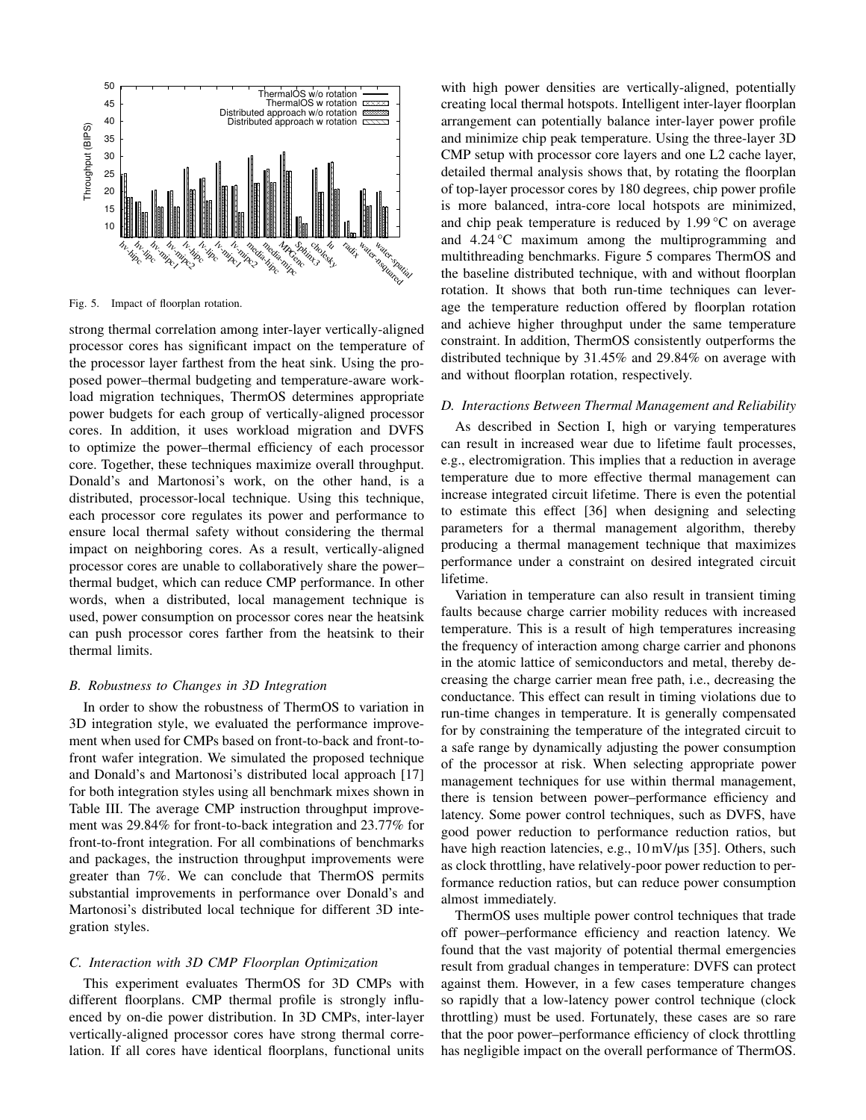

Fig. 5. Impact of floorplan rotation.

strong thermal correlation among inter-layer vertically-aligned processor cores has significant impact on the temperature of the processor layer farthest from the heat sink. Using the proposed power–thermal budgeting and temperature-aware workload migration techniques, ThermOS determines appropriate power budgets for each group of vertically-aligned processor cores. In addition, it uses workload migration and DVFS to optimize the power–thermal efficiency of each processor core. Together, these techniques maximize overall throughput. Donald's and Martonosi's work, on the other hand, is a distributed, processor-local technique. Using this technique, each processor core regulates its power and performance to ensure local thermal safety without considering the thermal impact on neighboring cores. As a result, vertically-aligned processor cores are unable to collaboratively share the power– thermal budget, which can reduce CMP performance. In other words, when a distributed, local management technique is used, power consumption on processor cores near the heatsink can push processor cores farther from the heatsink to their thermal limits.

#### *B. Robustness to Changes in 3D Integration*

In order to show the robustness of ThermOS to variation in 3D integration style, we evaluated the performance improvement when used for CMPs based on front-to-back and front-tofront wafer integration. We simulated the proposed technique and Donald's and Martonosi's distributed local approach [17] for both integration styles using all benchmark mixes shown in Table III. The average CMP instruction throughput improvement was 29.84% for front-to-back integration and 23.77% for front-to-front integration. For all combinations of benchmarks and packages, the instruction throughput improvements were greater than 7%. We can conclude that ThermOS permits substantial improvements in performance over Donald's and Martonosi's distributed local technique for different 3D integration styles.

### *C. Interaction with 3D CMP Floorplan Optimization*

This experiment evaluates ThermOS for 3D CMPs with different floorplans. CMP thermal profile is strongly influenced by on-die power distribution. In 3D CMPs, inter-layer vertically-aligned processor cores have strong thermal correlation. If all cores have identical floorplans, functional units

with high power densities are vertically-aligned, potentially creating local thermal hotspots. Intelligent inter-layer floorplan arrangement can potentially balance inter-layer power profile and minimize chip peak temperature. Using the three-layer 3D CMP setup with processor core layers and one L2 cache layer, detailed thermal analysis shows that, by rotating the floorplan of top-layer processor cores by 180 degrees, chip power profile is more balanced, intra-core local hotspots are minimized, and chip peak temperature is reduced by  $1.99 \degree C$  on average and 4.24 °C maximum among the multiprogramming and multithreading benchmarks. Figure 5 compares ThermOS and the baseline distributed technique, with and without floorplan rotation. It shows that both run-time techniques can leverage the temperature reduction offered by floorplan rotation and achieve higher throughput under the same temperature constraint. In addition, ThermOS consistently outperforms the distributed technique by 31.45% and 29.84% on average with and without floorplan rotation, respectively.

#### *D. Interactions Between Thermal Management and Reliability*

As described in Section I, high or varying temperatures can result in increased wear due to lifetime fault processes, e.g., electromigration. This implies that a reduction in average temperature due to more effective thermal management can increase integrated circuit lifetime. There is even the potential to estimate this effect [36] when designing and selecting parameters for a thermal management algorithm, thereby producing a thermal management technique that maximizes performance under a constraint on desired integrated circuit lifetime.

Variation in temperature can also result in transient timing faults because charge carrier mobility reduces with increased temperature. This is a result of high temperatures increasing the frequency of interaction among charge carrier and phonons in the atomic lattice of semiconductors and metal, thereby decreasing the charge carrier mean free path, i.e., decreasing the conductance. This effect can result in timing violations due to run-time changes in temperature. It is generally compensated for by constraining the temperature of the integrated circuit to a safe range by dynamically adjusting the power consumption of the processor at risk. When selecting appropriate power management techniques for use within thermal management, there is tension between power–performance efficiency and latency. Some power control techniques, such as DVFS, have good power reduction to performance reduction ratios, but have high reaction latencies, e.g., 10 mV/ $\mu$ s [35]. Others, such as clock throttling, have relatively-poor power reduction to performance reduction ratios, but can reduce power consumption almost immediately.

ThermOS uses multiple power control techniques that trade off power–performance efficiency and reaction latency. We found that the vast majority of potential thermal emergencies result from gradual changes in temperature: DVFS can protect against them. However, in a few cases temperature changes so rapidly that a low-latency power control technique (clock throttling) must be used. Fortunately, these cases are so rare that the poor power–performance efficiency of clock throttling has negligible impact on the overall performance of ThermOS.